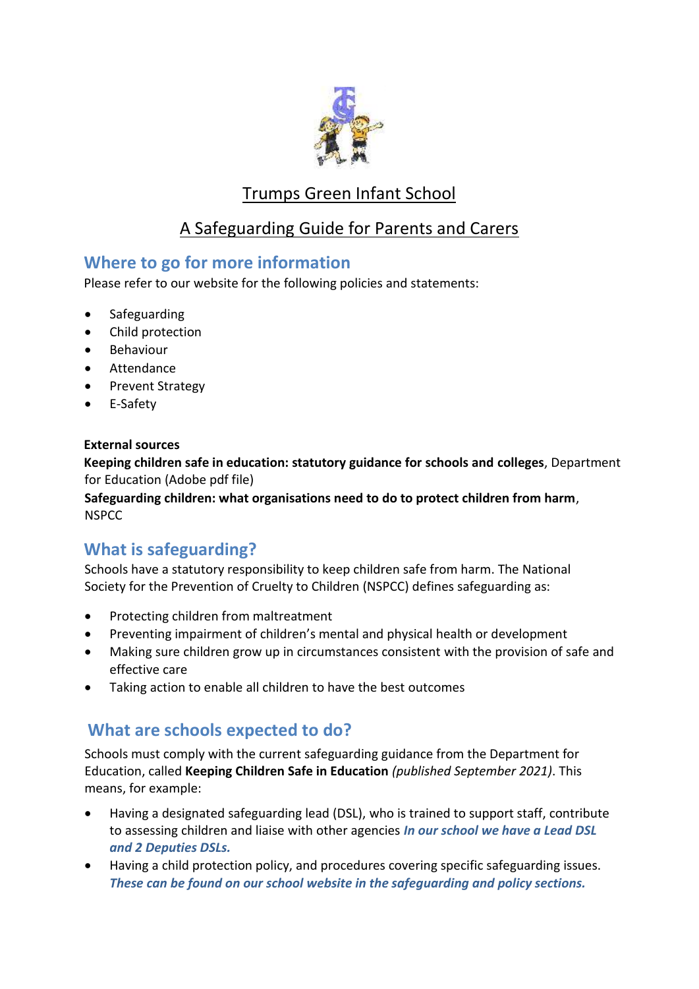

# Trumps Green Infant School

## A Safeguarding Guide for Parents and Carers

### **Where to go for more information**

Please refer to our website for the following policies and statements:

- Safeguarding
- Child protection
- Behaviour
- Attendance
- Prevent Strategy
- E-Safety

#### **External sources**

**Keeping children safe in education: statutory guidance for schools and colleges**, Department for Education (Adobe pdf file)

**Safeguarding children: what organisations need to do to protect children from harm**, NSPCC

## **What is safeguarding?**

Schools have a statutory responsibility to keep children safe from harm. The National Society for the Prevention of Cruelty to Children (NSPCC) defines safeguarding as:

- Protecting children from maltreatment
- Preventing impairment of children's mental and physical health or development
- Making sure children grow up in circumstances consistent with the provision of safe and effective care
- Taking action to enable all children to have the best outcomes

### **What are schools expected to do?**

Schools must comply with the current safeguarding guidance from the Department for Education, called **Keeping Children Safe in Education** *(published September 2021)*. This means, for example:

- Having a designated safeguarding lead (DSL), who is trained to support staff, contribute to assessing children and liaise with other agencies *In our school we have a Lead DSL and 2 Deputies DSLs.*
- Having a child protection policy, and procedures covering specific safeguarding issues. *These can be found on our school website in the safeguarding and policy sections.*